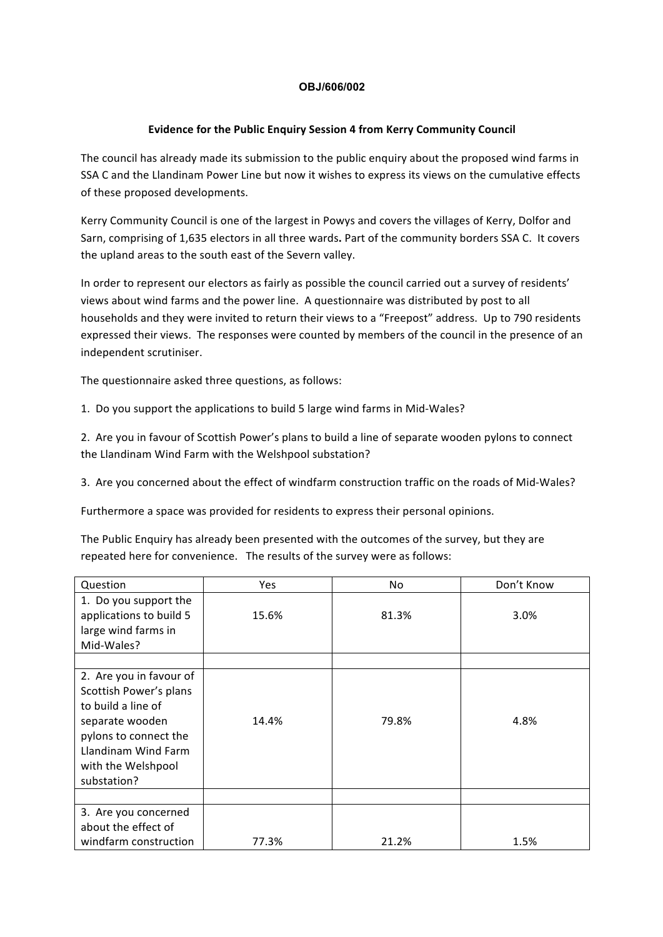## **OBJ/606/002**

## **Evidence for the Public Enquiry Session 4 from Kerry Community Council**

The council has already made its submission to the public enquiry about the proposed wind farms in SSA C and the Llandinam Power Line but now it wishes to express its views on the cumulative effects of these proposed developments.

Kerry Community Council is one of the largest in Powys and covers the villages of Kerry, Dolfor and Sarn, comprising of 1,635 electors in all three wards. Part of the community borders SSA C. It covers the upland areas to the south east of the Severn valley.

In order to represent our electors as fairly as possible the council carried out a survey of residents' views about wind farms and the power line. A questionnaire was distributed by post to all households and they were invited to return their views to a "Freepost" address. Up to 790 residents expressed their views. The responses were counted by members of the council in the presence of an independent scrutiniser.

The questionnaire asked three questions, as follows:

1. Do you support the applications to build 5 large wind farms in Mid-Wales?

2. Are you in favour of Scottish Power's plans to build a line of separate wooden pylons to connect the Llandinam Wind Farm with the Welshpool substation?

3. Are you concerned about the effect of windfarm construction traffic on the roads of Mid-Wales?

Furthermore a space was provided for residents to express their personal opinions.

The Public Enquiry has already been presented with the outcomes of the survey, but they are repeated here for convenience. The results of the survey were as follows:

| Question                                                                                                                                                                        | Yes   | No.   | Don't Know |
|---------------------------------------------------------------------------------------------------------------------------------------------------------------------------------|-------|-------|------------|
| 1. Do you support the<br>applications to build 5<br>large wind farms in<br>Mid-Wales?                                                                                           | 15.6% | 81.3% | 3.0%       |
|                                                                                                                                                                                 |       |       |            |
| 2. Are you in favour of<br>Scottish Power's plans<br>to build a line of<br>separate wooden<br>pylons to connect the<br>Llandinam Wind Farm<br>with the Welshpool<br>substation? | 14.4% | 79.8% | 4.8%       |
| 3. Are you concerned                                                                                                                                                            |       |       |            |
| about the effect of                                                                                                                                                             |       |       |            |
| windfarm construction                                                                                                                                                           | 77.3% | 21.2% | 1.5%       |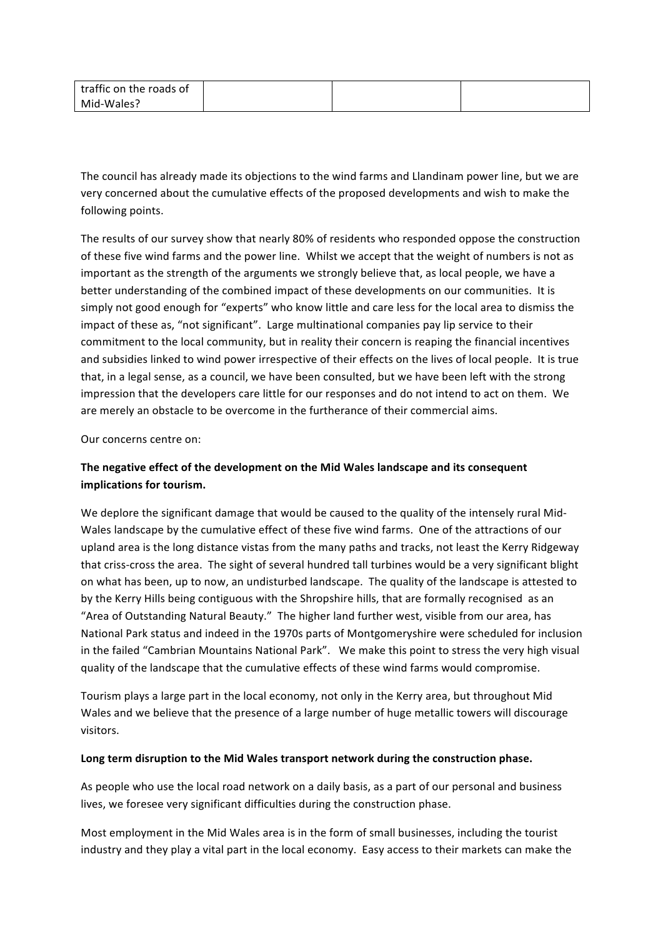| traffic on the roads of |  |  |
|-------------------------|--|--|
| Mid-Wales?              |  |  |

The council has already made its objections to the wind farms and Llandinam power line, but we are very concerned about the cumulative effects of the proposed developments and wish to make the following points.

The results of our survey show that nearly 80% of residents who responded oppose the construction of these five wind farms and the power line. Whilst we accept that the weight of numbers is not as important as the strength of the arguments we strongly believe that, as local people, we have a better understanding of the combined impact of these developments on our communities. It is simply not good enough for "experts" who know little and care less for the local area to dismiss the impact of these as, "not significant". Large multinational companies pay lip service to their commitment to the local community, but in reality their concern is reaping the financial incentives and subsidies linked to wind power irrespective of their effects on the lives of local people. It is true that, in a legal sense, as a council, we have been consulted, but we have been left with the strong impression that the developers care little for our responses and do not intend to act on them. We are merely an obstacle to be overcome in the furtherance of their commercial aims.

Our concerns centre on:

## The negative effect of the development on the Mid Wales landscape and its consequent implications for tourism.

We deplore the significant damage that would be caused to the quality of the intensely rural Mid-Wales landscape by the cumulative effect of these five wind farms. One of the attractions of our upland area is the long distance vistas from the many paths and tracks, not least the Kerry Ridgeway that criss-cross the area. The sight of several hundred tall turbines would be a very significant blight on what has been, up to now, an undisturbed landscape. The quality of the landscape is attested to by the Kerry Hills being contiguous with the Shropshire hills, that are formally recognised as an "Area of Outstanding Natural Beauty." The higher land further west, visible from our area, has National Park status and indeed in the 1970s parts of Montgomeryshire were scheduled for inclusion in the failed "Cambrian Mountains National Park". We make this point to stress the very high visual quality of the landscape that the cumulative effects of these wind farms would compromise.

Tourism plays a large part in the local economy, not only in the Kerry area, but throughout Mid Wales and we believe that the presence of a large number of huge metallic towers will discourage visitors. 

## Long term disruption to the Mid Wales transport network during the construction phase.

As people who use the local road network on a daily basis, as a part of our personal and business lives, we foresee very significant difficulties during the construction phase.

Most employment in the Mid Wales area is in the form of small businesses, including the tourist industry and they play a vital part in the local economy. Easy access to their markets can make the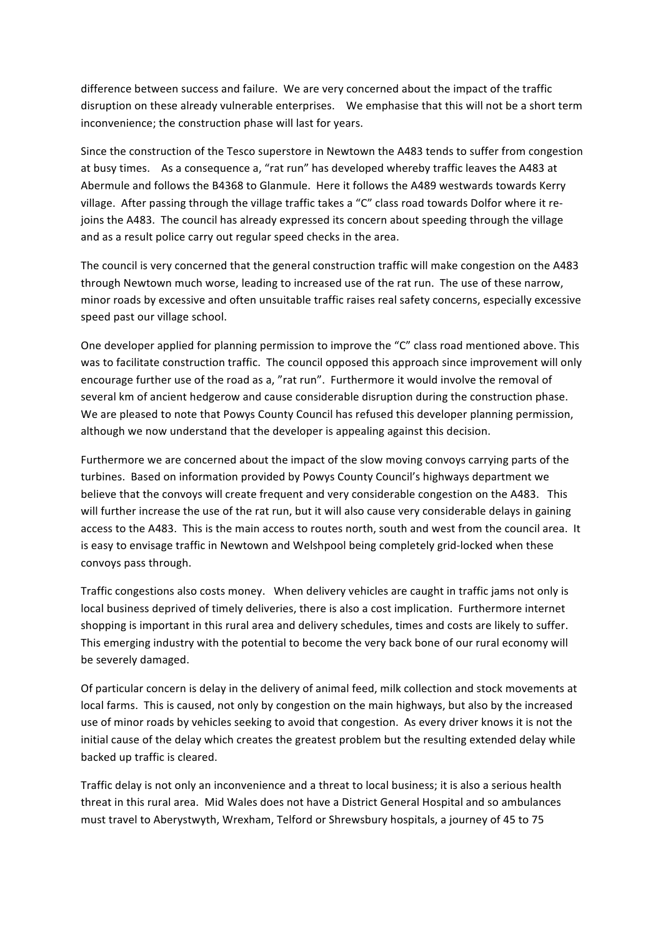difference between success and failure. We are very concerned about the impact of the traffic disruption on these already vulnerable enterprises. We emphasise that this will not be a short term inconvenience; the construction phase will last for years.

Since the construction of the Tesco superstore in Newtown the A483 tends to suffer from congestion at busy times. As a consequence a, "rat run" has developed whereby traffic leaves the A483 at Abermule and follows the B4368 to Glanmule. Here it follows the A489 westwards towards Kerry village. After passing through the village traffic takes a "C" class road towards Dolfor where it rejoins the A483. The council has already expressed its concern about speeding through the village and as a result police carry out regular speed checks in the area.

The council is very concerned that the general construction traffic will make congestion on the A483 through Newtown much worse, leading to increased use of the rat run. The use of these narrow, minor roads by excessive and often unsuitable traffic raises real safety concerns, especially excessive speed past our village school.

One developer applied for planning permission to improve the "C" class road mentioned above. This was to facilitate construction traffic. The council opposed this approach since improvement will only encourage further use of the road as a, "rat run". Furthermore it would involve the removal of several km of ancient hedgerow and cause considerable disruption during the construction phase. We are pleased to note that Powys County Council has refused this developer planning permission, although we now understand that the developer is appealing against this decision.

Furthermore we are concerned about the impact of the slow moving convoys carrying parts of the turbines. Based on information provided by Powys County Council's highways department we believe that the convoys will create frequent and very considerable congestion on the A483. This will further increase the use of the rat run, but it will also cause very considerable delays in gaining access to the A483. This is the main access to routes north, south and west from the council area. It is easy to envisage traffic in Newtown and Welshpool being completely grid-locked when these convoys pass through.

Traffic congestions also costs money. When delivery vehicles are caught in traffic jams not only is local business deprived of timely deliveries, there is also a cost implication. Furthermore internet shopping is important in this rural area and delivery schedules, times and costs are likely to suffer. This emerging industry with the potential to become the very back bone of our rural economy will be severely damaged.

Of particular concern is delay in the delivery of animal feed, milk collection and stock movements at local farms. This is caused, not only by congestion on the main highways, but also by the increased use of minor roads by vehicles seeking to avoid that congestion. As every driver knows it is not the initial cause of the delay which creates the greatest problem but the resulting extended delay while backed up traffic is cleared.

Traffic delay is not only an inconvenience and a threat to local business; it is also a serious health threat in this rural area. Mid Wales does not have a District General Hospital and so ambulances must travel to Aberystwyth, Wrexham, Telford or Shrewsbury hospitals, a journey of 45 to 75